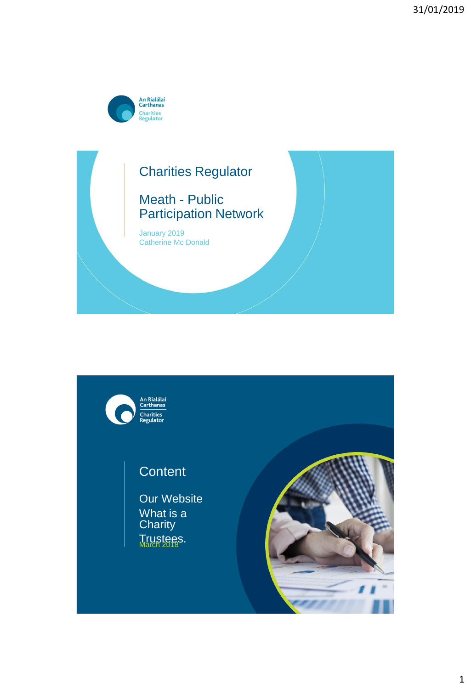





# **Content**

Our Website What is a **Charity** Trustees.

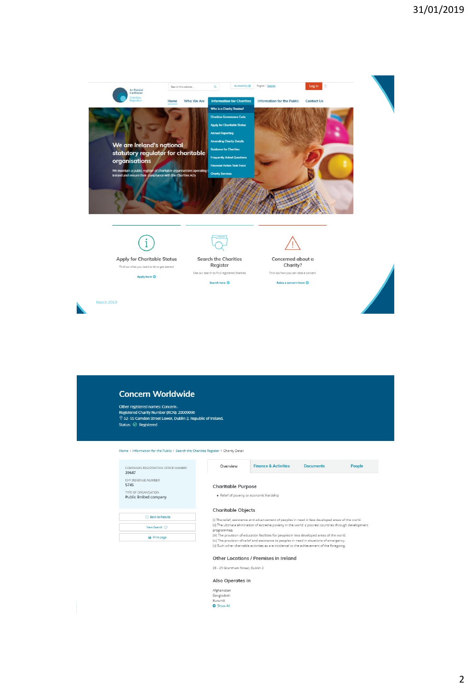

| <b>Concern Worldwide</b> |  |
|--------------------------|--|
|                          |  |

Other registered names: Concern .<br>Registered Charity Number (RCN): 20009090<br>⑦ 52- 55 Camden Street Lower, Dublin 2, Republic of Ireland. Status:  $\oslash$  Registered

Home > Information for the Public > Search the Charities Register > Charity Detail

| COMPANIES REGISTRATION OFFICE NUMBER<br>39647  | Overview                  | <b>Finance &amp; Activities</b>                                                                                                                                                           | <b>Documents</b> | People |
|------------------------------------------------|---------------------------|-------------------------------------------------------------------------------------------------------------------------------------------------------------------------------------------|------------------|--------|
| CHY (REVENUE) NUMBER<br>5745                   | <b>Charitable Purpose</b> |                                                                                                                                                                                           |                  |        |
| TYPE OF ORGANISATION<br>Public limited company |                           | · Relief of poverty or economic hardship                                                                                                                                                  |                  |        |
|                                                | <b>Charitable Objects</b> |                                                                                                                                                                                           |                  |        |
| <b>Back to Results</b>                         |                           | (i) The relief, assistance and advancement of peoples in need in less developed areas of the world.                                                                                       |                  |        |
| New Search (                                   | programmes.               | (ii) The ultimate elimination of extreme poverty in the world s poorest countries through development                                                                                     |                  |        |
| A Print page                                   |                           | (iii) The provision of education facilities for peoples in less developed areas of the world.                                                                                             |                  |        |
|                                                |                           | (iv) The provision of relief and assistance to peoples in need in situations of emergency.<br>(v) Such other charitable activities as are incidental to the achievement of the foregoing. |                  |        |

### Other Locations / Premises in Ireland

23 - 25 Grantham Street, Dublin 2

#### Also Operates in

| Afghanistan       |
|-------------------|
| Bangladesh        |
| Burundi           |
| <b>O</b> Show All |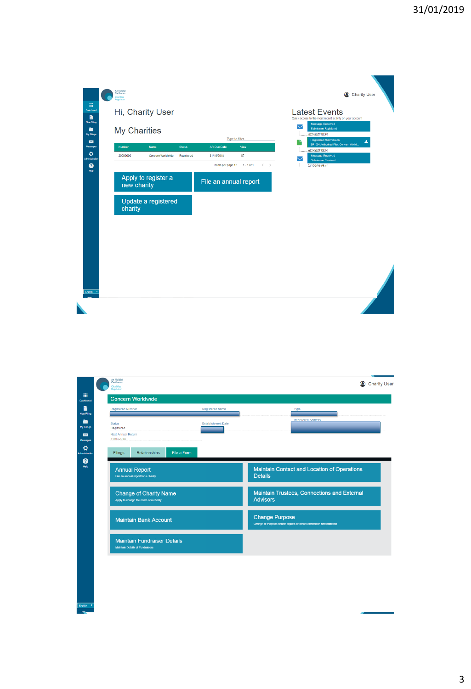

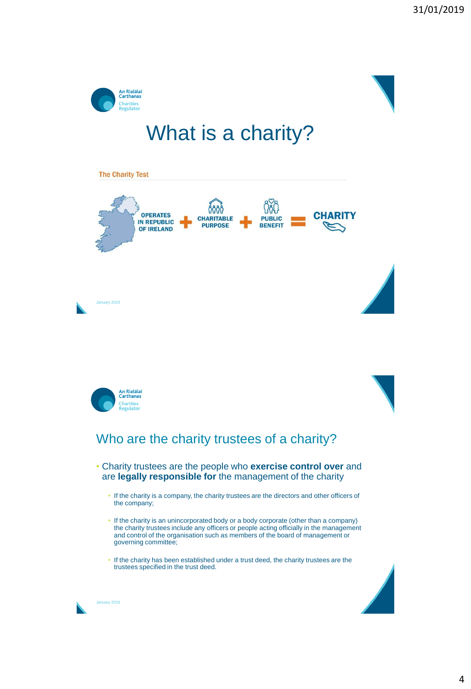

# What is a charity?







## Who are the charity trustees of a charity?

- Charity trustees are the people who **exercise control over** and are **legally responsible for** the management of the charity
	- If the charity is a company, the charity trustees are the directors and other officers of the company;
	- If the charity is an unincorporated body or a body corporate (other than a company) the charity trustees include any officers or people acting officially in the management and control of the organisation such as members of the board of management or governing committee;
	- If the charity has been established under a trust deed, the charity trustees are the trustees specified in the trust deed.

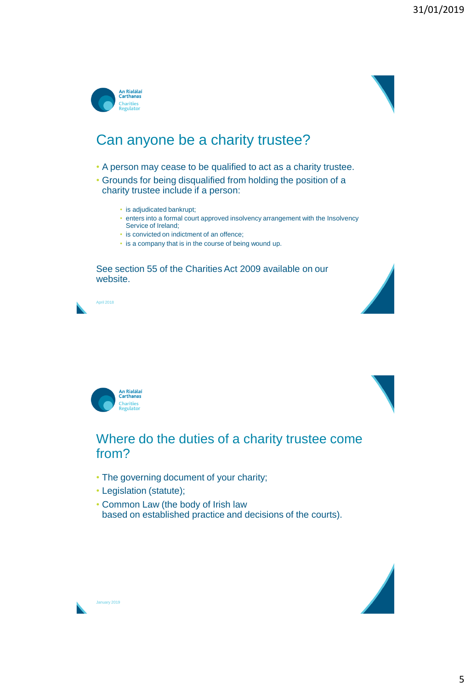



- A person may cease to be qualified to act as a charity trustee.
- Grounds for being disqualified from holding the position of a charity trustee include if a person:
	- is adjudicated bankrupt;
	- enters into a formal court approved insolvency arrangement with the Insolvency Service of Ireland;
	- is convicted on indictment of an offence;
	- is a company that is in the course of being wound up.

See section 55 of the Charities Act 2009 available on our website.









### Where do the duties of a charity trustee come from?

- The governing document of your charity;
- Legislation (statute);
- Common Law (the body of Irish law based on established practice and decisions of the courts).